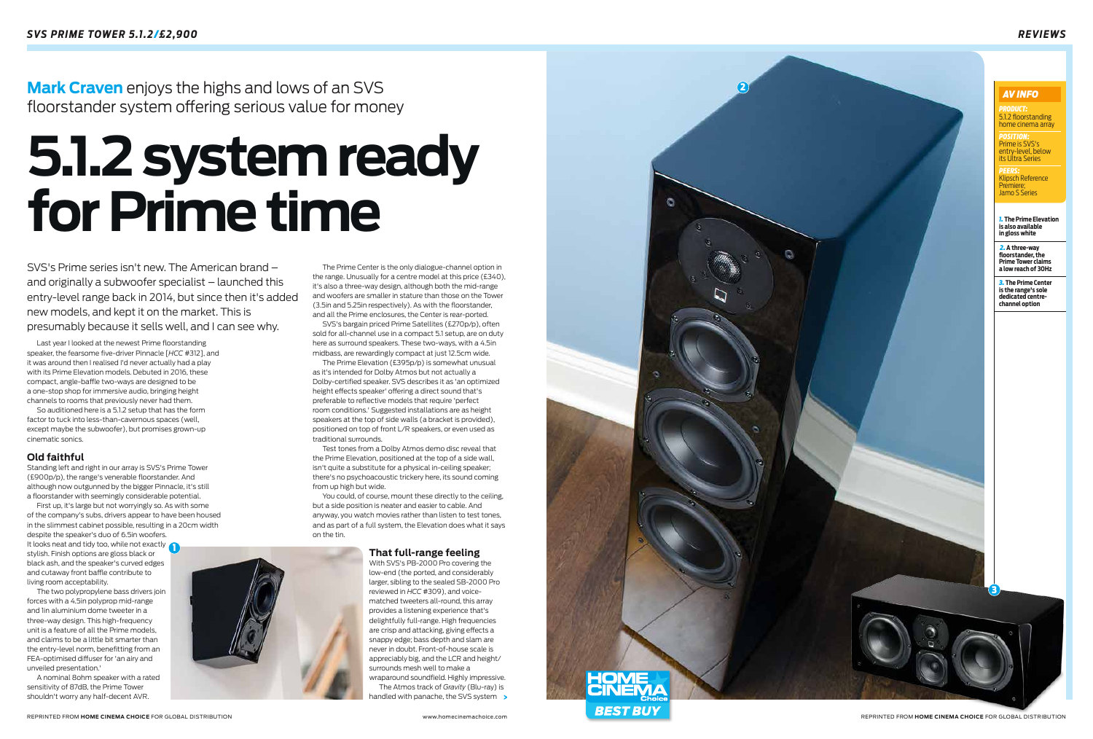

 $\bigcirc$ 



The Prime Center is the only dialogue-channel option in the range. Unusually for a centre model at this price (£340), it's also a three-way design, although both the mid-range and woofers are smaller in stature than those on the Tower (3.5in and 5.25in respectively). As with the floorstander, and all the Prime enclosures, the Center is rear-ported.

SVS's bargain priced Prime Satellites (£270p/p), often sold for all-channel use in a compact 5.1 setup, are on duty here as surround speakers. These two-ways, with a 4.5in midbass, are rewardingly compact at just 12.5cm wide.

The Prime Elevation (£395p/p) is somewhat unusual as it's intended for Dolby Atmos but not actually a Dolby-certified speaker. SVS describes it as 'an optimized height effects speaker' offering a direct sound that's preferable to reflective models that require 'perfect room conditions.' Suggested installations are as height speakers at the top of side walls (a bracket is provided), positioned on top of front L/R speakers, or even used as traditional surrounds.

> The Atmos track of *Gravity* (Blu-ray) is handled with panache, the SVS system >



Test tones from a Dolby Atmos demo disc reveal that the Prime Elevation, positioned at the top of a side wall, isn't quite a substitute for a physical in-ceiling speaker; there's no psychoacoustic trickery here, its sound coming from up high but wide.

You could, of course, mount these directly to the ceiling, but a side position is neater and easier to cable. And anyway, you watch movies rather than listen to test tones, and as part of a full system, the Elevation does what it says on the tin.

# **That full-range feeling**

With SVS's PB-2000 Pro covering the low-end (the ported, and considerably larger, sibling to the sealed SB-2000 Pro reviewed in *HCC* #309), and voicematched tweeters all-round, this array provides a listening experience that's delightfully full-range. High frequencies are crisp and attacking, giving effects a snappy edge; bass depth and slam are never in doubt. Front-of-house scale is appreciably big, and the LCR and height/ surrounds mesh well to make a wraparound soundfield. Highly impressive. *PEERS:*  Klipsch Reference Premiere;<br>Jamo S Series **AV INFO**<br>**PRODUCT:**<br>**5.1.2 floorstar**<br>**home cinema**<br>**POSITION:**<br>**entry-level, between PEERS:**<br>**REERS:**<br>**REERS:**<br>**REERS:**<br>**REERS:**<br>**REERS:**<br>**REERS:**<br>**REERS:**<br>**REERS:**<br>**REERS:** 

Last year I looked at the newest Prime floorstanding speaker, the fearsome five-driver Pinnacle [*HCC* #312], and it was around then I realised I'd never actually had a play with its Prime Elevation models. Debuted in 2016, these compact, angle-baffle two-ways are designed to be a one-stop shop for immersive audio, bringing height channels to rooms that previously never had them.

So auditioned here is a 5.1.2 setup that has the form factor to tuck into less-than-cavernous spaces (well, except maybe the subwoofer), but promises grown-up cinematic sonics.

# **Old faithful**

Standing left and right in our array is SVS's Prime Tower (£900p/p), the range's venerable floorstander. And although now outgunned by the bigger Pinnacle, it's still a floorstander with seemingly considerable potential.

First up, it's large but not worryingly so. As with some of the company's subs, drivers appear to have been housed in the slimmest cabinet possible, resulting in a 20cm width despite the speaker's duo of 6.5in woofers.

It looks neat and tidy too, while not exactly 1 stylish. Finish options are gloss black or black ash, and the speaker's curved edges and cutaway front baffle contribute to living room acceptability.

The two polypropylene bass drivers join forces with a 4.5in polyprop mid-range and 1in aluminium dome tweeter in a three-way design. This high-frequency unit is a feature of all the Prime models, and claims to be a little bit smarter than the entry-level norm, benefitting from an FEA-optimised diffuser for 'an airy and unveiled presentation.'

A nominal 8ohm speaker with a rated sensitivity of 87dB, the Prime Tower shouldn't worry any half-decent AVR.

SVS's Prime series isn't new. The American brand – and originally a subwoofer specialist – launched this entry-level range back in 2014, but since then it's added new models, and kept it on the market. This is presumably because it sells well, and I can see why.

# /*£2,900 REVIEWS*

**Mark Craven** enjoys the highs and lows of an SVS floorstander system offering serious value for money

# **5.1.2 system ready for Prime time**

*PRODUCT:* 5.1.2 floorstanding home cinema array

*POSITION:*  Prime is SVS's entry-level, below its Ultra Series

*1.* **The Prime Elevation is also available in gloss white**

 *2.* **A three-way floorstander, the Prime Tower claims a low reach of 30Hz**

*3.* **The Prime Center is the range's sole dedicated centrechannel option**